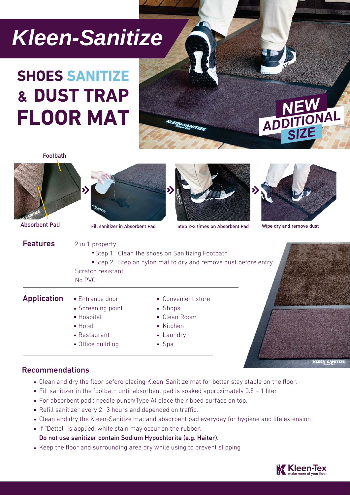# *Kleen-Sanitize*

## **SHOES SANITIZE** & DUST TRAP **FLOOR MAT**

ADDITIONAL

Footbath







Absorbent Pad Fill sanitizer in Absorbent Pad Step 2-3 times on Absorbent Pad Wipe dry and remove dust





**KLEEN-SANITIZ** 

#### Recommendations

- Clean and dry the floor before placing Kleen-Sanitize mat for better stay stable on the floor.
- Fill sanitizer in the footbath until absorbent pad is soaked approximately  $0.5 1$  liter
- For absorbent pad : needle punch(Type A) place the ribbed surface on top.
- Refill sanitizer every 2- 3 hours and depended on traffic.
- Clean and dry the Kleen-Sanitize mat and absorbent pad everyday for hygiene and life extension
- If "Dettol" is applied, white stain may occur on the rubber.

Do not use sanitizer contain Sodium Hypochlorite (e.g. Haiter).

Keep the floor and surrounding area dry while using to prevent slipping